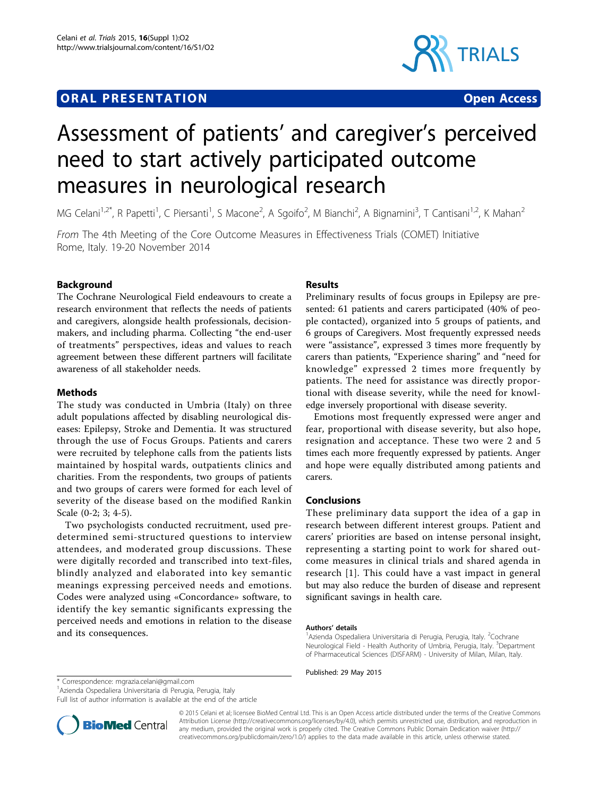## **ORAL PRESENTATION OPEN ACCESS**



# Assessment of patients' and caregiver's perceived need to start actively participated outcome measures in neurological research

MG Celani<sup>1,2\*</sup>, R Papetti<sup>1</sup>, C Piersanti<sup>1</sup>, S Macone<sup>2</sup>, A Sgoifo<sup>2</sup>, M Bianchi<sup>2</sup>, A Bignamini<sup>3</sup>, T Cantisani<sup>1,2</sup>, K Mahan<sup>2</sup>

From The 4th Meeting of the Core Outcome Measures in Effectiveness Trials (COMET) Initiative Rome, Italy. 19-20 November 2014

### Background

The Cochrane Neurological Field endeavours to create a research environment that reflects the needs of patients and caregivers, alongside health professionals, decisionmakers, and including pharma. Collecting "the end-user of treatments" perspectives, ideas and values to reach agreement between these different partners will facilitate awareness of all stakeholder needs.

### Methods

The study was conducted in Umbria (Italy) on three adult populations affected by disabling neurological diseases: Epilepsy, Stroke and Dementia. It was structured through the use of Focus Groups. Patients and carers were recruited by telephone calls from the patients lists maintained by hospital wards, outpatients clinics and charities. From the respondents, two groups of patients and two groups of carers were formed for each level of severity of the disease based on the modified Rankin Scale (0-2; 3; 4-5).

Two psychologists conducted recruitment, used predetermined semi-structured questions to interview attendees, and moderated group discussions. These were digitally recorded and transcribed into text-files, blindly analyzed and elaborated into key semantic meanings expressing perceived needs and emotions. Codes were analyzed using «Concordance» software, to identify the key semantic significants expressing the perceived needs and emotions in relation to the disease and its consequences.

### Results

Preliminary results of focus groups in Epilepsy are presented: 61 patients and carers participated (40% of people contacted), organized into 5 groups of patients, and 6 groups of Caregivers. Most frequently expressed needs were "assistance", expressed 3 times more frequently by carers than patients, "Experience sharing" and "need for knowledge" expressed 2 times more frequently by patients. The need for assistance was directly proportional with disease severity, while the need for knowledge inversely proportional with disease severity.

Emotions most frequently expressed were anger and fear, proportional with disease severity, but also hope, resignation and acceptance. These two were 2 and 5 times each more frequently expressed by patients. Anger and hope were equally distributed among patients and carers.

#### Conclusions

These preliminary data support the idea of a gap in research between different interest groups. Patient and carers' priorities are based on intense personal insight, representing a starting point to work for shared outcome measures in clinical trials and shared agenda in research [\[1\]](#page-1-0). This could have a vast impact in general but may also reduce the burden of disease and represent significant savings in health care.

#### Authors' details <sup>1</sup>

Azienda Ospedaliera Universitaria di Perugia, Perugia, Italy. <sup>2</sup>Cochrane Neurological Field - Health Authority of Umbria, Perugia, Italy. <sup>3</sup>Department of Pharmaceutical Sciences (DISFARM) - University of Milan, Milan, Italy.

Published: 29 May 2015

\* Correspondence: [mgrazia.celani@gmail.com](mailto:mgrazia.celani@gmail.com)

1 Azienda Ospedaliera Universitaria di Perugia, Perugia, Italy

Full list of author information is available at the end of the article



© 2015 Celani et al; licensee BioMed Central Ltd. This is an Open Access article distributed under the terms of the Creative Commons Attribution License [\(http://creativecommons.org/licenses/by/4.0](http://creativecommons.org/licenses/by/4.0)), which permits unrestricted use, distribution, and reproduction in any medium, provided the original work is properly cited. The Creative Commons Public Domain Dedication waiver [\(http://](http://creativecommons.org/publicdomain/zero/1.0/) [creativecommons.org/publicdomain/zero/1.0/](http://creativecommons.org/publicdomain/zero/1.0/)) applies to the data made available in this article, unless otherwise stated.